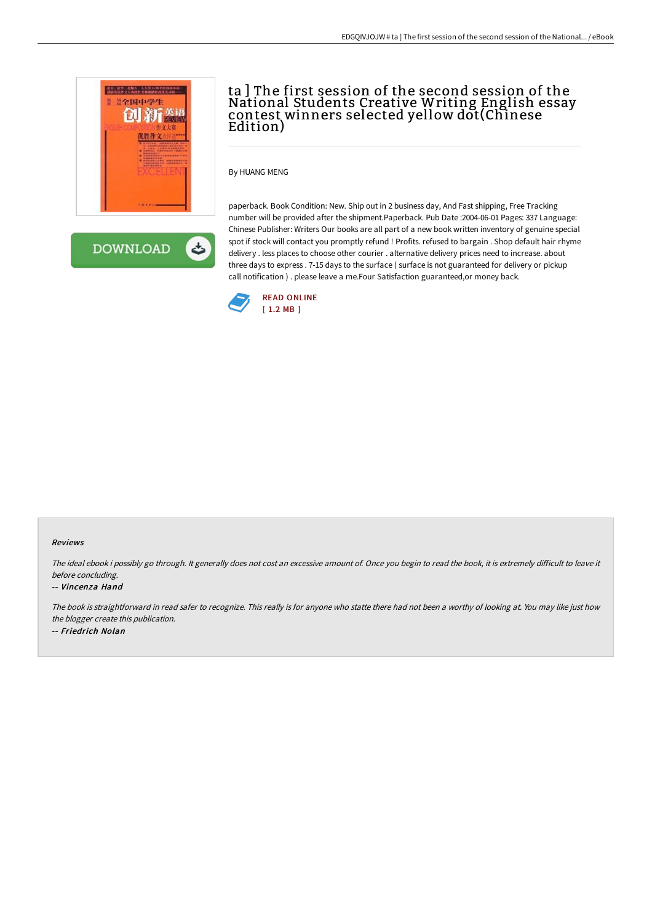

# ta ] The first session of the second session of the National Students Creative Writing English essay contest winners selected yellow dot(Chinese Edition)

By HUANG MENG

paperback. Book Condition: New. Ship out in 2 business day, And Fast shipping, Free Tracking number will be provided after the shipment.Paperback. Pub Date :2004-06-01 Pages: 337 Language: Chinese Publisher: Writers Our books are all part of a new book written inventory of genuine special spot if stock will contact you promptly refund ! Profits. refused to bargain . Shop default hair rhyme delivery . less places to choose other courier . alternative delivery prices need to increase. about three days to express . 7-15 days to the surface ( surface is not guaranteed for delivery or pickup call notification ) . please leave a me.Four Satisfaction guaranteed,or money back.



### Reviews

The ideal ebook i possibly go through. It generally does not cost an excessive amount of. Once you begin to read the book, it is extremely difficult to leave it before concluding.

### -- Vincenza Hand

The book is straightforward in read safer to recognize. This really is for anyone who statte there had not been <sup>a</sup> worthy of looking at. You may like just how the blogger create this publication. -- Friedrich Nolan